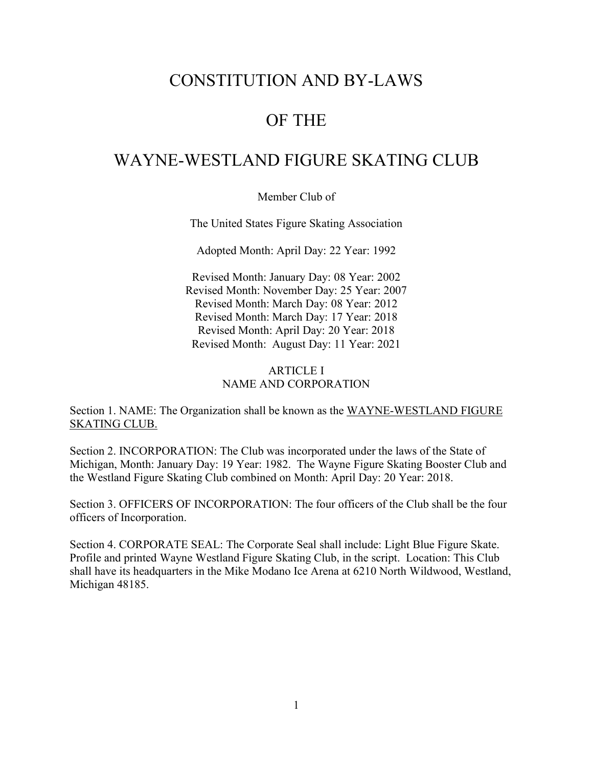## CONSTITUTION AND BY-LAWS

### OF THE

### WAYNE-WESTLAND FIGURE SKATING CLUB

Member Club of

The United States Figure Skating Association

Adopted Month: April Day: 22 Year: 1992

Revised Month: January Day: 08 Year: 2002 Revised Month: November Day: 25 Year: 2007 Revised Month: March Day: 08 Year: 2012 Revised Month: March Day: 17 Year: 2018 Revised Month: April Day: 20 Year: 2018 Revised Month: August Day: 11 Year: 2021

#### ARTICLE I NAME AND CORPORATION

Section 1. NAME: The Organization shall be known as the WAYNE-WESTLAND FIGURE SKATING CLUB.

Section 2. INCORPORATION: The Club was incorporated under the laws of the State of Michigan, Month: January Day: 19 Year: 1982. The Wayne Figure Skating Booster Club and the Westland Figure Skating Club combined on Month: April Day: 20 Year: 2018.

Section 3. OFFICERS OF INCORPORATION: The four officers of the Club shall be the four officers of Incorporation.

Section 4. CORPORATE SEAL: The Corporate Seal shall include: Light Blue Figure Skate. Profile and printed Wayne Westland Figure Skating Club, in the script. Location: This Club shall have its headquarters in the Mike Modano Ice Arena at 6210 North Wildwood, Westland, Michigan 48185.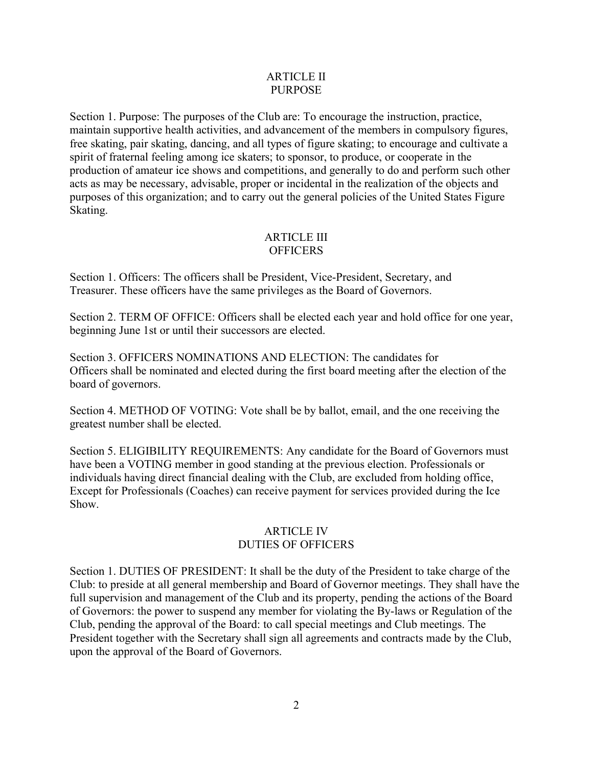#### ARTICLE II PURPOSE

Section 1. Purpose: The purposes of the Club are: To encourage the instruction, practice, maintain supportive health activities, and advancement of the members in compulsory figures, free skating, pair skating, dancing, and all types of figure skating; to encourage and cultivate a spirit of fraternal feeling among ice skaters; to sponsor, to produce, or cooperate in the production of amateur ice shows and competitions, and generally to do and perform such other acts as may be necessary, advisable, proper or incidental in the realization of the objects and purposes of this organization; and to carry out the general policies of the United States Figure Skating.

#### ARTICLE III **OFFICERS**

Section 1. Officers: The officers shall be President, Vice-President, Secretary, and Treasurer. These officers have the same privileges as the Board of Governors.

Section 2. TERM OF OFFICE: Officers shall be elected each year and hold office for one year, beginning June 1st or until their successors are elected.

Section 3. OFFICERS NOMINATIONS AND ELECTION: The candidates for Officers shall be nominated and elected during the first board meeting after the election of the board of governors.

Section 4. METHOD OF VOTING: Vote shall be by ballot, email, and the one receiving the greatest number shall be elected.

Section 5. ELIGIBILITY REQUIREMENTS: Any candidate for the Board of Governors must have been a VOTING member in good standing at the previous election. Professionals or individuals having direct financial dealing with the Club, are excluded from holding office, Except for Professionals (Coaches) can receive payment for services provided during the Ice Show.

#### ARTICLE IV DUTIES OF OFFICERS

Section 1. DUTIES OF PRESIDENT: It shall be the duty of the President to take charge of the Club: to preside at all general membership and Board of Governor meetings. They shall have the full supervision and management of the Club and its property, pending the actions of the Board of Governors: the power to suspend any member for violating the By-laws or Regulation of the Club, pending the approval of the Board: to call special meetings and Club meetings. The President together with the Secretary shall sign all agreements and contracts made by the Club, upon the approval of the Board of Governors.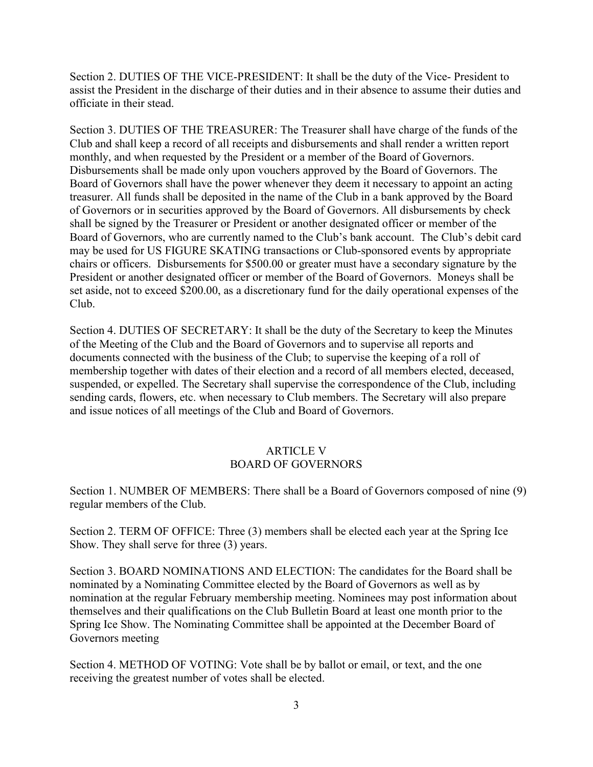Section 2. DUTIES OF THE VICE-PRESIDENT: It shall be the duty of the Vice- President to assist the President in the discharge of their duties and in their absence to assume their duties and officiate in their stead.

Section 3. DUTIES OF THE TREASURER: The Treasurer shall have charge of the funds of the Club and shall keep a record of all receipts and disbursements and shall render a written report monthly, and when requested by the President or a member of the Board of Governors. Disbursements shall be made only upon vouchers approved by the Board of Governors. The Board of Governors shall have the power whenever they deem it necessary to appoint an acting treasurer. All funds shall be deposited in the name of the Club in a bank approved by the Board of Governors or in securities approved by the Board of Governors. All disbursements by check shall be signed by the Treasurer or President or another designated officer or member of the Board of Governors, who are currently named to the Club's bank account. The Club's debit card may be used for US FIGURE SKATING transactions or Club-sponsored events by appropriate chairs or officers. Disbursements for \$500.00 or greater must have a secondary signature by the President or another designated officer or member of the Board of Governors. Moneys shall be set aside, not to exceed \$200.00, as a discretionary fund for the daily operational expenses of the Club.

Section 4. DUTIES OF SECRETARY: It shall be the duty of the Secretary to keep the Minutes of the Meeting of the Club and the Board of Governors and to supervise all reports and documents connected with the business of the Club; to supervise the keeping of a roll of membership together with dates of their election and a record of all members elected, deceased, suspended, or expelled. The Secretary shall supervise the correspondence of the Club, including sending cards, flowers, etc. when necessary to Club members. The Secretary will also prepare and issue notices of all meetings of the Club and Board of Governors.

#### ARTICLE V BOARD OF GOVERNORS

Section 1. NUMBER OF MEMBERS: There shall be a Board of Governors composed of nine (9) regular members of the Club.

Section 2. TERM OF OFFICE: Three (3) members shall be elected each year at the Spring Ice Show. They shall serve for three (3) years.

Section 3. BOARD NOMINATIONS AND ELECTION: The candidates for the Board shall be nominated by a Nominating Committee elected by the Board of Governors as well as by nomination at the regular February membership meeting. Nominees may post information about themselves and their qualifications on the Club Bulletin Board at least one month prior to the Spring Ice Show. The Nominating Committee shall be appointed at the December Board of Governors meeting

Section 4. METHOD OF VOTING: Vote shall be by ballot or email, or text, and the one receiving the greatest number of votes shall be elected.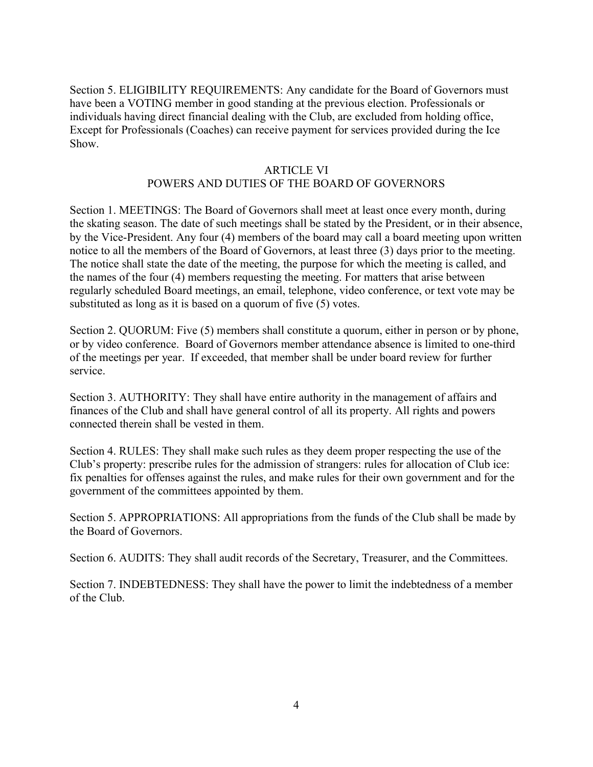Section 5. ELIGIBILITY REQUIREMENTS: Any candidate for the Board of Governors must have been a VOTING member in good standing at the previous election. Professionals or individuals having direct financial dealing with the Club, are excluded from holding office, Except for Professionals (Coaches) can receive payment for services provided during the Ice Show.

#### ARTICLE VI

#### POWERS AND DUTIES OF THE BOARD OF GOVERNORS

Section 1. MEETINGS: The Board of Governors shall meet at least once every month, during the skating season. The date of such meetings shall be stated by the President, or in their absence, by the Vice-President. Any four (4) members of the board may call a board meeting upon written notice to all the members of the Board of Governors, at least three (3) days prior to the meeting.<br>The notice shall state the date of the meeting, the purpose for which the meeting is called, and the names of the four (4) members requesting the meeting. For matters that arise between regularly scheduled Board meetings, an email, telephone, video conference, or text vote may be substituted as long as it is based on a quorum of five (5) votes.

Section 2. QUORUM: Five (5) members shall constitute a quorum, either in person or by phone, or by video conference. Board of Governors member attendance absence is limited to one-third of the meetings per year. If exceeded, that member shall be under board review for further service.

Section 3. AUTHORITY: They shall have entire authority in the management of affairs and finances of the Club and shall have general control of all its property. All rights and powers connected therein shall be vested in them.

Section 4. RULES: They shall make such rules as they deem proper respecting the use of the Club's property: prescribe rules for the admission of strangers: rules for allocation of Club ice: fix penalties for offenses against the rules, and make rules for their own government and for the government of the committees appointed by them.

Section 5. APPROPRIATIONS: All appropriations from the funds of the Club shall be made by the Board of Governors.

Section 6. AUDITS: They shall audit records of the Secretary, Treasurer, and the Committees.

Section 7. INDEBTEDNESS: They shall have the power to limit the indebtedness of a member of the Club.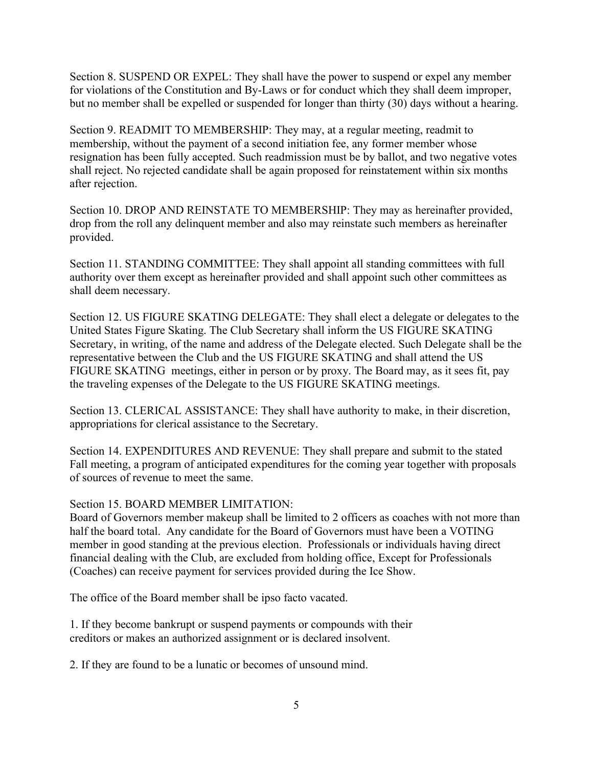Section 8. SUSPEND OR EXPEL: They shall have the power to suspend or expel any member for violations of the Constitution and By-Laws or for conduct which they shall deem improper, but no member shall be expelled or suspended for longer than thirty (30) days without a hearing.

Section 9. READMIT TO MEMBERSHIP: They may, at a regular meeting, readmit to membership, without the payment of a second initiation fee, any former member whose resignation has been fully accepted. Such readmission must be by ballot, and two negative votes shall reject. No rejected candidate shall be again proposed for reinstatement within six months after rejection.

Section 10. DROP AND REINSTATE TO MEMBERSHIP: They may as hereinafter provided, drop from the roll any delinquent member and also may reinstate such members as hereinafter provided.

Section 11. STANDING COMMITTEE: They shall appoint all standing committees with full authority over them except as hereinafter provided and shall appoint such other committees as shall deem necessary.

Section 12. US FIGURE SKATING DELEGATE: They shall electa delegate or delegates to the United States Figure Skating. The Club Secretary shall inform the US FIGURE SKATING Secretary, in writing, of the name and address of the Delegate elected. Such Delegate shall be the representative between the Club and the US FIGURE SKATING and shall attend the US FIGURE SKATING meetings, either in person or by proxy. The Board may, as it sees fit, pay the traveling expenses of the Delegate to the US FIGURE SKATING meetings.

Section 13. CLERICAL ASSISTANCE: They shall have authority to make, in their discretion, appropriations for clerical assistance to the Secretary.

Section 14. EXPENDITURES AND REVENUE: They shall prepare and submit to the stated Fall meeting, a program of anticipated expenditures for the coming year together with proposals of sources of revenue to meet the same.

Section 15. BOARD MEMBER LIMITATION:

Board of Governors member makeup shall be limited to 2 officers as coaches with not more than half the board total. Any candidate for the Board of Governors must have been a VOTING member in good standing at the previous election. Professionals or individuals having direct financial dealing with the Club, are excluded from holding office, Except for Professionals (Coaches) can receive payment for services provided during the Ice Show.

The office of the Board member shall be ipso facto vacated.

1. If they become bankrupt or suspend payments orcompounds with their creditors or makes an authorized assignment or is declared insolvent.

2. If they are found to be a lunatic or becomes of unsound mind.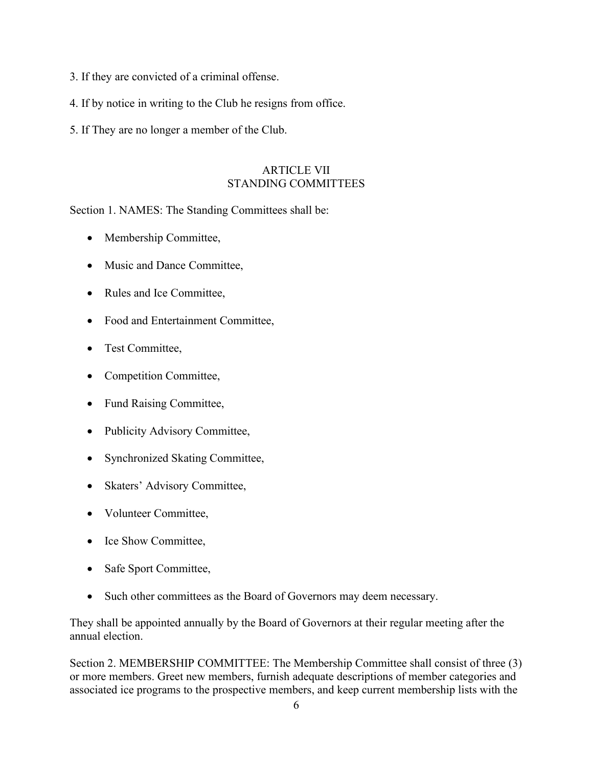- 3. If they are convicted of a criminal offense.
- 4. If by notice in writing to the Club he resigns from office.
- 5. If They are no longer a member of the Club.

#### ARTICLE VII STANDING COMMITTEES

Section 1. NAMES: The Standing Committees shall be:

- Membership Committee,
- Music and Dance Committee,
- Rules and Ice Committee,
- Food and Entertainment Committee,
- Test Committee,
- Competition Committee,
- Fund Raising Committee,
- Publicity Advisory Committee,
- Synchronized Skating Committee,
- Skaters' Advisory Committee,
- Volunteer Committee,
- Ice Show Committee,
- Safe Sport Committee,
- Such other committees as the Board of Governors may deem necessary.

They shall be appointed annually by the Board of Governors at their regular meeting after the annual election.

Section 2. MEMBERSHIP COMMITTEE: The Membership Committee shall consist of three (3) or more members. Greet new members, furnish adequate descriptions of member categories and associated ice programs to the prospective members, and keep current membership lists with the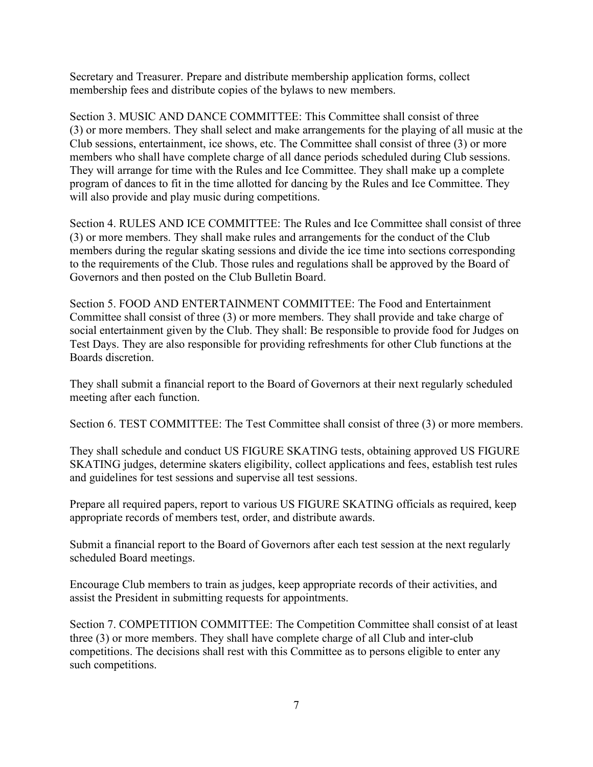Secretary and Treasurer. Prepare and distribute membership application forms, collect membership fees and distribute copies of the bylaws to new members.

Section 3. MUSIC AND DANCE COMMITTEE: This Committee shall consist of three (3) or more members. They shall select and make arrangements for the playing of all music at the Club sessions, entertainment, ice shows, etc. The Committee shall consist of three (3) or more members who shall have complete charge of all dance periods scheduled during Club sessions. They will arrange for time with the Rules and Ice Committee. They shall make up a complete program of dances to fit in the time allotted for dancing by the Rules and Ice Committee. They will also provide and play music during competitions.

Section 4. RULES AND ICE COMMITTEE: The Rules and Ice Committee shall consist of three (3) or more members. They shall make rules and arrangements for the conduct of the Club members during the regular skating sessions and divide the ice time into sections corresponding to the requirements of the Club. Those rules and regulations shall be approved by the Board of Governors and then posted on the Club Bulletin Board.

Section 5. FOOD AND ENTERTAINMENT COMMITTEE: The Food and Entertainment Committee shall consist of three (3) or more members. They shall provide and take charge of social entertainment given by the Club. They shall: Be responsible to provide food for Judges on Test Days. They are also responsible for providing refreshments for other Club functions at the Boards discretion.

They shall submit a financial report to the Board of Governors at their next regularly scheduled meeting after each function.

Section 6. TEST COMMITTEE: The Test Committee shall consist of three (3) or more members.

They shall schedule and conduct US FIGURE SKATING tests, obtaining approved US FIGURE SKATING judges, determine skaters eligibility, collect applications and fees, establish test rules and guidelines for test sessions and supervise all test sessions.

Prepare all required papers, report to various US FIGURE SKATING officials as required, keep appropriate records of members test, order, and distribute awards.

Submit a financial report to the Board of Governors after each test session at the next regularly scheduled Board meetings.

Encourage Club members to train as judges, keep appropriate records oftheir activities, and assist the President in submitting requests for appointments.

Section 7. COMPETITION COMMITTEE: The Competition Committee shall consist of at least three (3) or more members. They shall have complete charge of all Club and inter-club competitions. The decisions shall rest with this Committee as to persons eligible to enter any such competitions.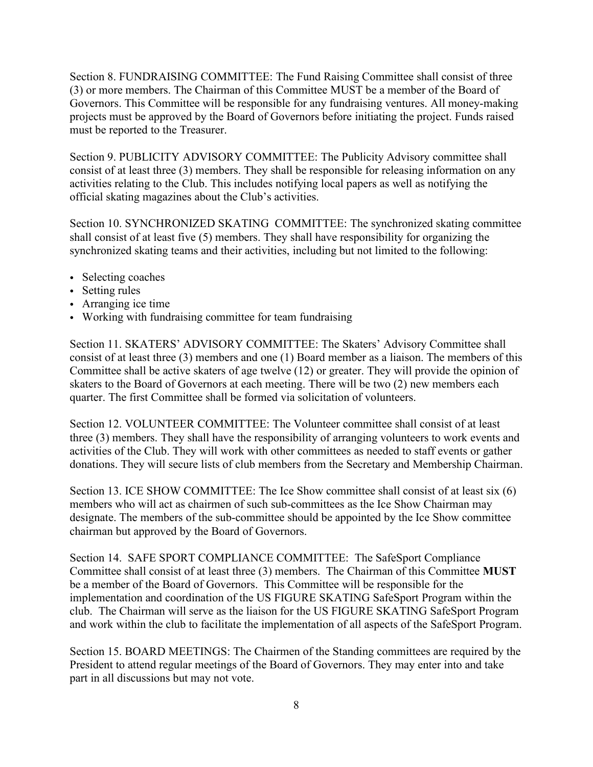Section 8. FUNDRAISING COMMITTEE: The Fund Raising Committee shall consist of three (3) or more members. The Chairman of this Committee MUST be a member of the Board of Governors. This Committee will be responsible for any fundraising ventures. All money-making projects must be approved by the Board of Governors before initiating the project. Funds raised must be reported to the Treasurer.

Section 9. PUBLICITY ADVISORY COMMITTEE: The Publicity Advisory committee shall consist of at least three (3) members. They shall be responsible for releasing information on any activities relating to the Club. This includes notifying local papers as well as notifying the official skating magazines about the Club's activities.

Section 10. SYNCHRONIZED SKATING COMMITTEE: The synchronized skating committee shall consist of at least five (5) members. They shall have responsibility for organizing the synchronized skating teams and their activities, including but not limited to the following:

- Selecting coaches
- Setting rules
- Arranging ice time
- Working with fundraising committee for team fundraising

Section 11. SKATERS' ADVISORY COMMITTEE: The Skaters' Advisory Committee shall consist of at least three  $(3)$  members and one  $(1)$  Board member as a liaison. The members of this Committee shall be active skaters of age twelve  $(12)$  or greater. They will provide the opinion of skaters to the Board of Governors at each meeting. There will be two (2) new members each quarter. The first Committee shall be formed via solicitation of volunteers.

Section 12. VOLUNTEER COMMITTEE: The Volunteer committee shall consist of at least three (3) members. They shall have the responsibility of arranging volunteers to work events and activities of the Club. They will work with other committees as needed to staff events or gather donations. They will secure lists of club members from the Secretary and Membership Chairman.

Section 13. ICE SHOW COMMITTEE: The Ice Show committee shall consist of at least six (6) members who will act as chairmen of such sub-committees as the Ice Show Chairman may designate. The members of the sub-committee should be appointed by the Ice Show committee chairman but approved by the Board of Governors.

Section 14. SAFE SPORT COMPLIANCE COMMITTEE: The SafeSport Compliance Committee shall consist of at least three (3) members. The Chairman of this Committee **MUST** be a member of the Board of Governors. This Committee will be responsible for the implementation and coordination of the US FIGURE SKATING SafeSport Program within the club. The Chairman will serve as the liaison for the US FIGURE SKATING SafeSport Program and work within the club to facilitate the implementation of all aspects of the SafeSport Program.

Section 15. BOARD MEETINGS: The Chairmen of the Standing committees are required by the President to attend regular meetings of the Board of Governors. They may enter into and take part in all discussions but may not vote.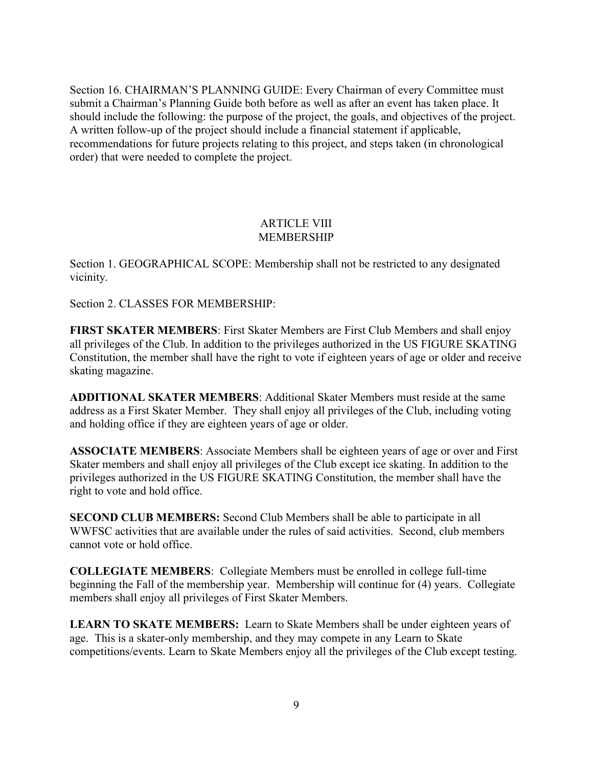Section 16. CHAIRMAN'S PLANNING GUIDE: Every Chairman of every Committee must submit a Chairman's Planning Guide both before as well as after an event has taken place. It should include the following: the purpose of the project, the goals, and objectives of the project. A written follow-up of the project should include a financial statement if applicable, recommendations for future projects relating to this project, and steps taken (in chronological order) that were needed to complete the project.

#### ARTICLE VIII MEMBERSHIP

Section 1. GEOGRAPHICAL SCOPE: Membership shall not be restricted to any designated vicinity.

Section 2. CLASSES FOR MEMBERSHIP:

**FIRST SKATER MEMBERS**: First Skater Members are First Club Members and shall enjoy all privileges of the Club. In addition to the privileges authorized in the US FIGURE SKATING Constitution, the member shall have the right to vote if eighteen years of age or older and receive skating magazine.

**ADDITIONAL SKATER MEMBERS**: Additional Skater Members must reside at the same address as a First Skater Member. They shall enjoy all privileges of the Club, including voting and holding office if they are eighteen years of age or older.

**ASSOCIATE MEMBERS:** Associate Members shall be eighteen years of age or over and First Skater members and shall enjoy all privileges of the Club except ice skating. In addition to the privileges authorized in the US FIGURE SKATING Constitution, the member shall have the right to vote and hold office.

**SECOND CLUB MEMBERS:** Second Club Members shall be able to participate in all WWFSC activities that are available under the rules of said activities. Second, club members cannot vote or hold office.

**COLLEGIATE MEMBERS**: Collegiate Members must be enrolled in college full-time beginning the Fall of the membership year. Membership will continue for (4) years. Collegiate members shall enjoy all privileges of First Skater Members.

**LEARN TO SKATE MEMBERS:** Learn to Skate Members shall be under eighteen years of age. This is a skater-only membership, and they may compete in any Learn to Skate competitions/events. Learn to Skate Members enjoy all the privileges of the Club except testing.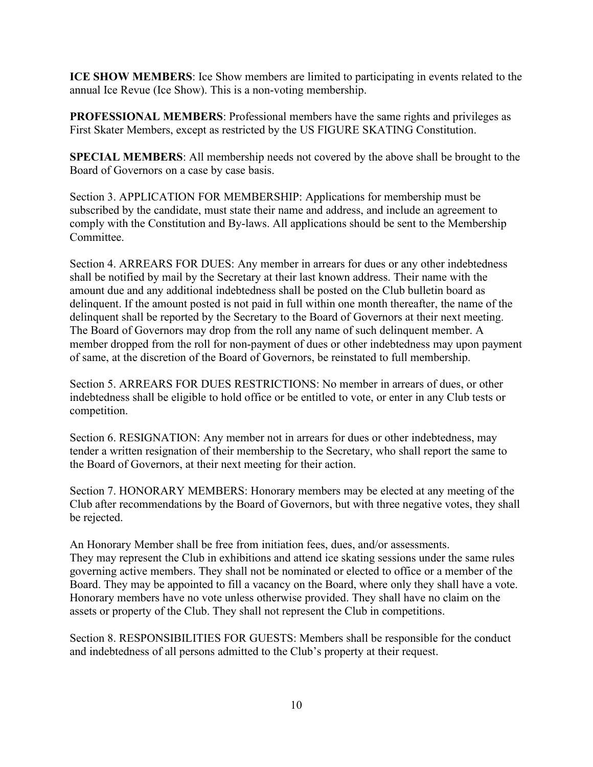**ICE SHOW MEMBERS**: Ice Show members are limited to participating in events related to the annual Ice Revue (Ice Show). This is a non-voting membership.

**PROFESSIONAL MEMBERS**: Professional members have the same rights and privileges as First Skater Members, except as restricted by the US FIGURE SKATING Constitution.

**SPECIAL MEMBERS**: All membership needs not covered by the above shall be brought to the Board of Governors on a case by case basis.

Section 3. APPLICATION FOR MEMBERSHIP: Applications for membership must be subscribed by the candidate, must state their name and address, and include an agreement to comply with the Constitution and By-laws. All applications should be sent to the Membership Committee.

Section 4. ARREARS FOR DUES: Any member in arrears for dues or any other indebtedness shall be notified by mail by the Secretary at their last known address. Their name with the amount due and any additional indebtedness shall be posted on the Club bulletin board as delinquent. If the amount posted is not paid in full within one month thereafter, the name of the delinquent shall be reported by the Secretary to the Board of Governors at their next meeting. The Board of Governors may drop from the roll any name of such delinquent member. A member dropped from the roll for non-payment of dues or other indebtedness may upon payment of same, at the discretion of the Board of Governors, be reinstated to full membership.

Section 5. ARREARS FOR DUES RESTRICTIONS: No member in arrears of dues, or other indebtedness shall be eligible to hold office or be entitled to vote, or enter in any Club tests or competition.

Section 6. RESIGNATION: Any member not in arrears for dues or other indebtedness, may tender a written resignation of their membership to the Secretary, who shall report the same to the Board of Governors, at their next meeting for their action.

Section 7. HONORARY MEMBERS: Honorary members may be elected at any meeting of the Club after recommendations by the Board of Governors, but with three negative votes, they shall be rejected.<br>An Honorary Member shall be free from initiation fees, dues, and/or assessments.

They may represent the Club in exhibitions and attend ice skating sessions under the same rules governing active members. They shall not be nominated or elected to office or a member of the Board. They may be appointed to fill a vacancy on the Board, where only they shall have a vote. Honorary members have no vote unless otherwise provided. They shall have no claim on the assets or property of the Club. They shall not represent the Club in competitions.

Section 8. RESPONSIBILITIES FOR GUESTS: Members shall be responsible for the conduct and indebtedness of all persons admitted to the Club's property at their request.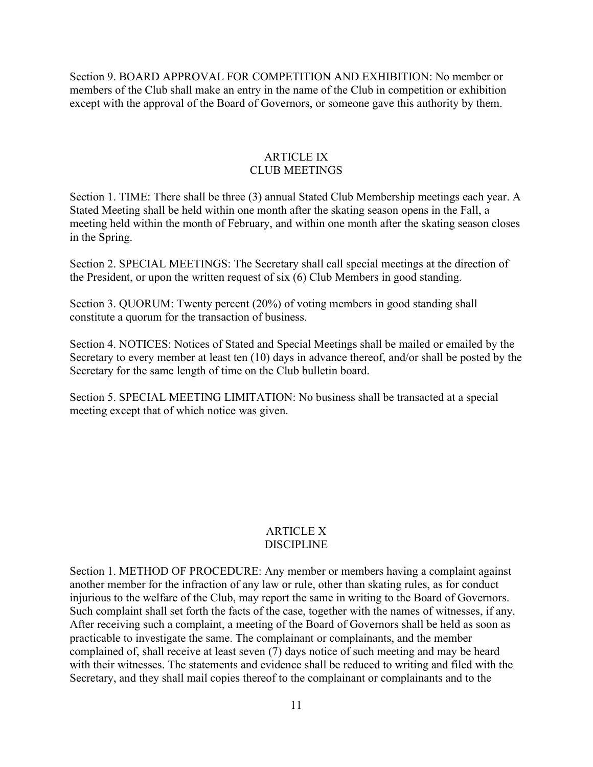Section 9. BOARD APPROVAL FOR COMPETITION AND EXHIBITION: No member or members of the Club shall make an entry in the name of the Club in competition or exhibition except with the approval of the Board of Governors, or someone gave this authority by them.

#### ARTICLE IX CLUB MEETINGS

Section 1. TIME: There shall be three (3) annual Stated Club Membership meetings each year. A Stated Meeting shall be held within one month after the skating season opens in the Fall, a meeting held within the month of February, and within one month after the skating season closes in the Spring.

Section 2. SPECIAL MEETINGS: The Secretary shall call special meetings at the direction of the President, or upon the written request of six (6) Club Members in good standing.

Section 3. QUORUM: Twenty percent (20%) of voting members in good standing shall constitute a quorum for the transaction of business.

Section 4. NOTICES: Notices of Stated and Special Meetings shall be mailed or emailed by the Secretary to every member at least ten (10) days in advance thereof, and/or shall be posted by the Secretary for the same length of time on the Club bulletin board.

Section 5. SPECIAL MEETING LIMITATION: No business shall be transacted at a special meeting except that of which notice was given.

#### ARTICLE X DISCIPLINE

Section 1. METHOD OF PROCEDURE: Any member or members having a complaint against another member for the infraction of any law or rule, other than skating rules, as for conduct injurious to the welfare of the Club, may report the same in writing to the Board of Governors. Such complaint shall set forth the facts of the case, together with the names of witnesses, if any. After receiving such a complaint, a meeting of the Board of Governors shall be held as soon as practicable to investigate the same. The complainant or complainants, and the member complained of, shall receive at least seven (7) days notice of such meeting and may be heard with their witnesses. The statements and evidence shall be reduced to writing and filed with the Secretary, and they shall mail copies thereof to the complainant or complainants and to the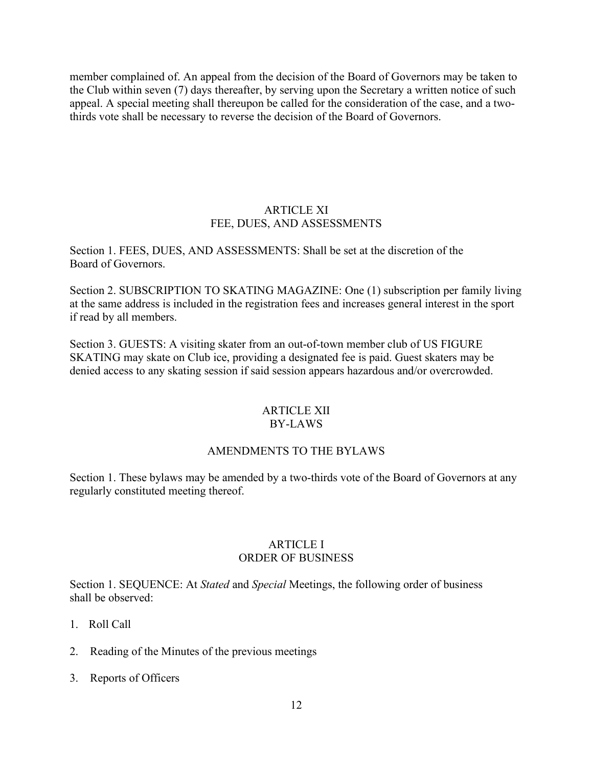member complained of. An appeal from the decision of the Board of Governors may be taken to the Club within seven (7) days thereafter, by serving upon the Secretary a written notice of such appeal. A special meeting shall thereupon be called for the consideration of the case, and a twothirds vote shall be necessary to reverse the decision of the Board of Governors.

#### ARTICLE XI FEE, DUES, AND ASSESSMENTS

Section 1. FEES, DUES, AND ASSESSMENTS: Shall be set at the discretion of the Board of Governors.

Section 2. SUBSCRIPTION TO SKATING MAGAZINE: One (1) subscription per family living at the same address is included in the registration fees and increases general interest in the sport if read by all members.

Section 3. GUESTS: A visiting skater from an out-of-town member club of US FIGURE SKATING may skate on Club ice, providing a designated fee is paid. Guest skaters may be denied access to any skating session if said session appears hazardous and/or overcrowded.

#### ARTICLE XII BY-LAWS

#### AMENDMENTS TO THE BYLAWS

Section 1. These bylaws may be amended by a two-thirds vote of the Board of Governors at any regularly constituted meeting thereof.

#### ARTICLE I ORDER OF BUSINESS

Section 1. SEQUENCE: At *Stated* and *Special* Meetings, the following order of business shall be observed:

- 1. Roll Call
- 2. Reading of the Minutes of the previous meetings
- 3. Reports of Officers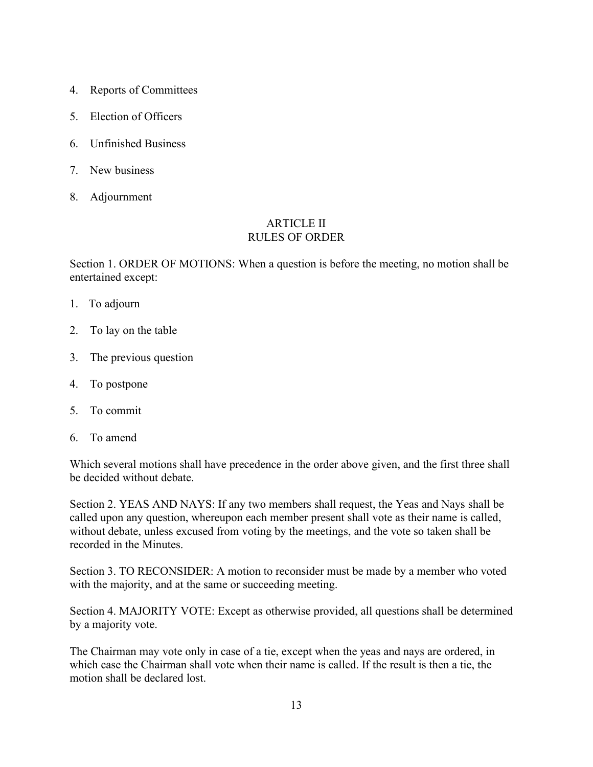- 4. Reports of Committees
- 5. Election of Officers
- 6. Unfinished Business
- 7. New business
- 8. Adjournment

#### ARTICLE II RULES OF ORDER

Section 1. ORDER OF MOTIONS: When a question is before the meeting, no motion shall be entertained except:

- 1. To adjourn
- 2. To lay on the table
- 3. The previous question
- 4. To postpone
- 5. To commit
- 6. To amend

Which several motions shall have precedence in the order above given, and the first three shall be decided without debate.

Section 2. YEAS AND NAYS: If any two members shall request, the Yeas and Nays shall be called upon any question, whereupon each member present shall vote as their name is called, without debate, unless excused from voting by the meetings, and the vote so taken shall be recorded in the Minutes.

Section 3. TO RECONSIDER: A motion to reconsider must be made by a member who voted with the majority, and at the same or succeeding meeting.

Section 4. MAJORITY VOTE: Except as otherwise provided, all questions shall be determined by a majority vote.

The Chairman may vote only in case of a tie, except when the yeas and nays are ordered, in which case the Chairman shall vote when their name is called. If the result is then a tie, the motion shall be declared lost.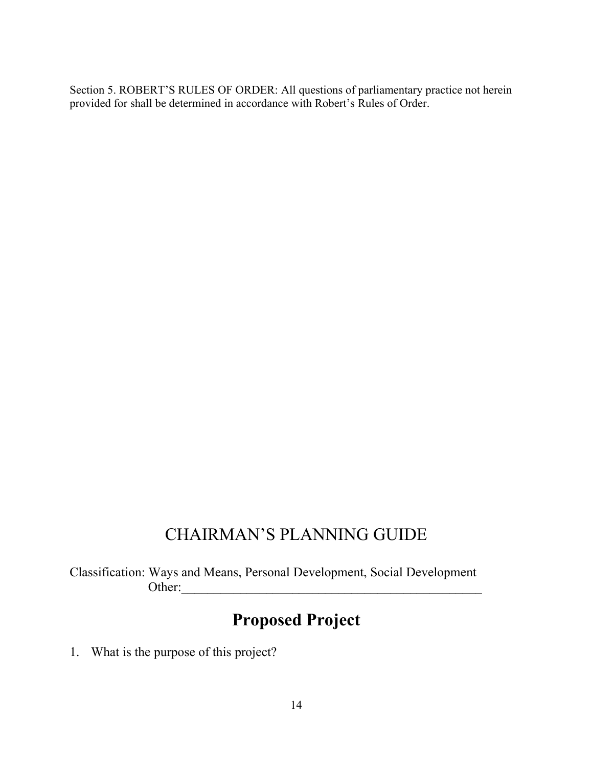Section 5. ROBERT'S RULES OF ORDER: All questions of parliamentary practice not herein provided for shall be determined in accordance with Robert's Rules of Order.

## CHAIRMAN'S PLANNING GUIDE

Classification: Ways and Means, Personal Development, Social Development Other:\_\_\_\_\_\_\_\_\_\_\_\_\_\_\_\_\_\_\_\_\_\_\_\_\_\_\_\_\_\_\_\_\_\_\_\_\_\_\_\_\_\_\_\_\_\_

# **Proposed Project**

1. What is the purpose of this project?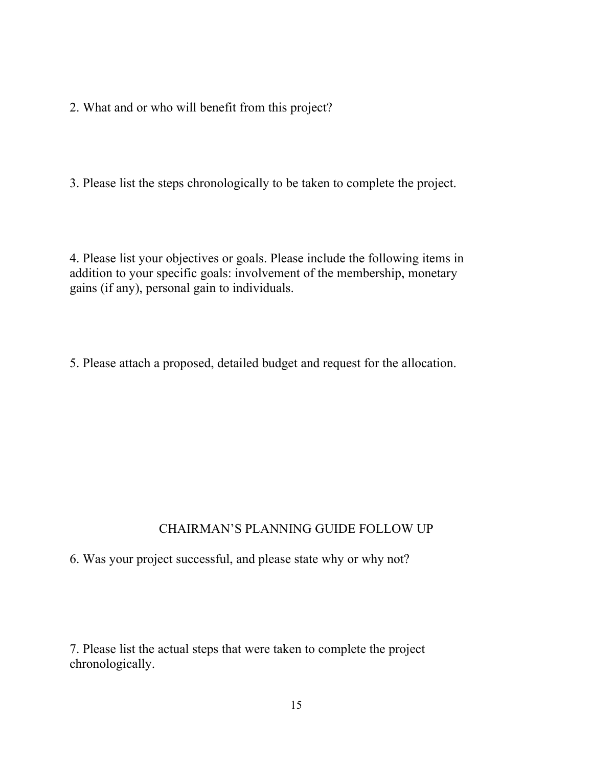2. What and or who will benefit from this project?

3. Please list the steps chronologically to be taken to complete the project.

4. Please list your objectives or goals. Please include the following items in addition to your specific goals: involvement of the membership, monetary gains (if any), personal gain to individuals.

5. Please attach a proposed, detailed budget and request for the allocation.

### CHAIRMAN'S PLANNING GUIDE FOLLOW UP

6. Was your project successful, and please state why or why not?

7. Please list the actual steps that were taken to complete the project chronologically.